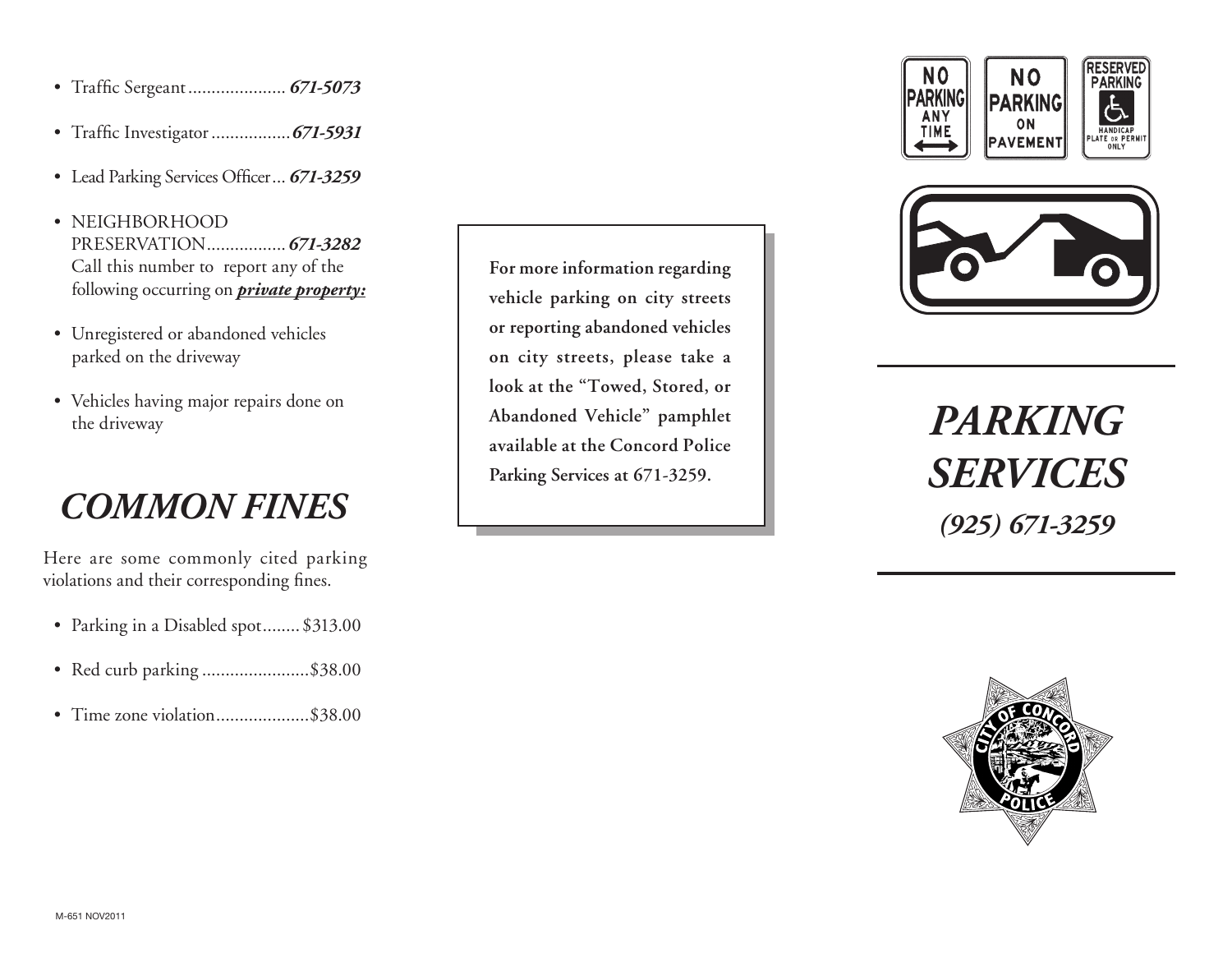- • Traffic Sergeant..................... *671-5073*
- • Traffic Investigator.................*671-5931*
- • Lead Parking Services Officer... *671-3259*
- NEIGHBORHOOD PreservatioN................. *671-3282* Call this number to report any of the following occurring on *private property:*
- Unregistered or abandoned vehicles parked on the driveway
- • Vehicles having major repairs done on the driveway

## *Common Fines*

Here are some commonly cited parking violations and their corresponding fines.

- Parking in a Disabled spot........ \$313.00
- Red curb parking ...........................\$38.00
- Time zone violation.........................\$38.00

**For more information regarding vehicle parking on city streets or reporting abandoned vehicles on city streets, please take a look at the "Towed, Stored, or Abandoned Vehicle" pamphlet available at the Concord Police Parking Services at 671-3259.**





*Parking SERVICES (925) 671-3259*